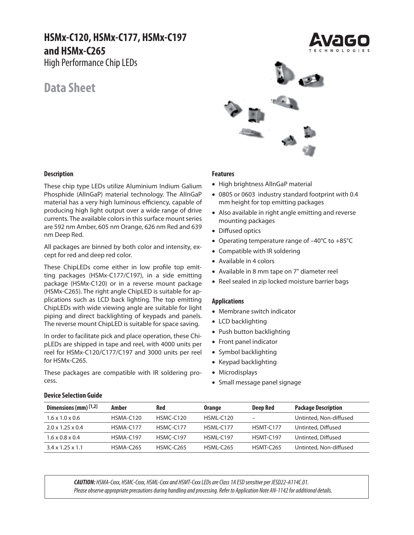# **HSMx-C120, HSMx-C177, HSMx-C197 and HSMx-C265**

High Performance Chip LEDs

# **Data Sheet**



These chip type LEDs utilize Aluminium Indium Galium Phosphide (AlInGaP) material technology. The AlInGaP material has a very high luminous efficiency, capable of producing high light output over a wide range of drive currents. The available colors in this surface mount series are 592 nm Amber, 605 nm Orange, 626 nm Red and 639 nm Deep Red.

All packages are binned by both color and intensity, except for red and deep red color.

These ChipLEDs come either in low profile top emitting packages (HSMx-C177/C197), in a side emitting package (HSMx-C120) or in a reverse mount package (HSMx-C265). The right angle ChipLED is suitable for applications such as LCD back lighting. The top emitting ChipLEDs with wide viewing angle are suitable for light piping and direct backlighting of keypads and panels. The reverse mount ChipLED is suitable for space saving.

In order to facilitate pick and place operation, these ChipLEDs are shipped in tape and reel, with 4000 units per reel for HSMx-C120/C177/C197 and 3000 units per reel for HSMx-C265.

These packages are compatible with IR soldering process.

#### **Features**

- High brightness AlInGaP material
- 0805 or 0603 industry standard footprint with 0.4 mm height for top emitting packages
- Also available in right angle emitting and reverse mounting packages
- Diffused optics
- Operating temperature range of –40°C to +85°C
- Compatible with IR soldering
- Available in 4 colors
- Available in 8 mm tape on 7" diameter reel
- Reel sealed in zip locked moisture barrier bags

#### **Applications**

- Membrane switch indicator
- LCD backlighting
- Push button backlighting
- Front panel indicator
- Symbol backlighting
- Keypad backlighting
- Microdisplays
- Small message panel signage

| <b>Device Selection Guide</b> |  |
|-------------------------------|--|
|                               |  |

| Dimensions (mm) $[1,2]$      | Amber       | Red         | <b>Orange</b>    | <b>Deep Red</b>  | <b>Package Description</b> |
|------------------------------|-------------|-------------|------------------|------------------|----------------------------|
| $1.6 \times 1.0 \times 0.6$  | HSMA-C120   | $HSMC-C120$ | HSML-C120        | -                | Untinted, Non-diffused     |
| $2.0 \times 1.25 \times 0.4$ | $HSMA-C177$ | $HSMC-C177$ | <b>HSMI-C177</b> | HSMT-C177        | Untinted, Diffused         |
| $1.6 \times 0.8 \times 0.4$  | HSMA-C197   | $HSMC-C197$ | <b>HSMI-C197</b> | HSMT-C197        | Untinted, Diffused         |
| $3.4 \times 1.25 \times 1.1$ | HSMA-C265   | HSMC-C265   | <b>HSMI-C265</b> | <b>HSMT-C265</b> | Untinted, Non-diffused     |

*CAUTION:* HSMA-Cxxx, HSMC-Cxxx, HSML-Cxxx and HSMT-Cxxx LEDs are Class 1A ESD sensitive per JESD22-A114C.01. Please observe appropriate precautions during handling and processing. Refer to Application Note AN-1142 for additional details.



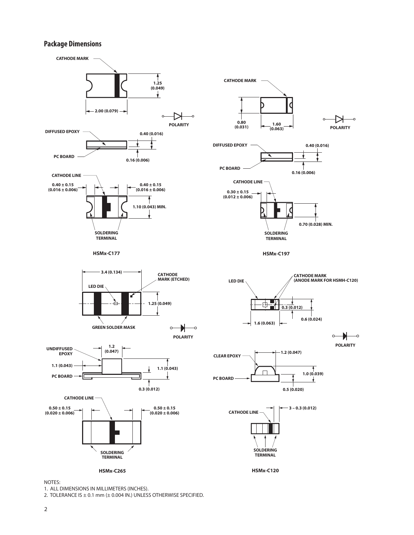## **Package Dimensions**





1. ALL DIMENSIONS IN MILLIMETERS (INCHES).

2. TOLERANCE IS  $\pm$  0.1 mm ( $\pm$  0.004 IN.) UNLESS OTHERWISE SPECIFIED.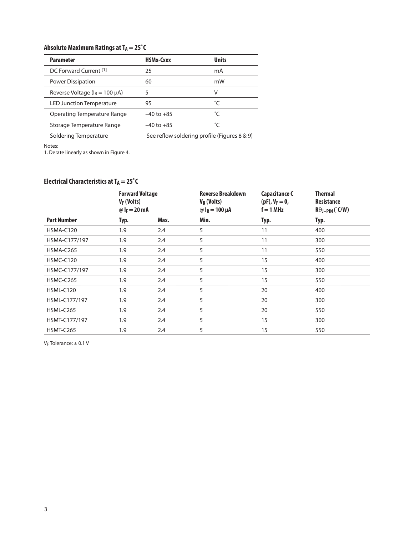# Absolute Maximum Ratings at T<sub>A</sub> = 25°C

| <b>Parameter</b>                      | HSMx-Cxxx                                    | <b>Units</b> |
|---------------------------------------|----------------------------------------------|--------------|
| DC Forward Current <sup>[1]</sup>     | 25                                           | mA           |
| Power Dissipation                     | 60                                           | mW           |
| Reverse Voltage ( $I_R = 100 \mu A$ ) | 5                                            | v            |
| <b>LED Junction Temperature</b>       | 95                                           | °C           |
| Operating Temperature Range           | $-40$ to $+85$                               | °C           |
| Storage Temperature Range             | $-40$ to $+85$                               | °C           |
| Soldering Temperature                 | See reflow soldering profile (Figures 8 & 9) |              |

Notes:

1. Derate linearly as shown in Figure 4.

# **Electrical Characteristics at TA = 25°C**

|                    | <b>Forward Voltage</b><br>$V_F$ (Volts)<br>@ $I_F = 20$ mA |      | <b>Reverse Breakdown</b><br>$V_R$ (Volts)<br>@ $I_R = 100 \mu A$ | <b>Capacitance C</b><br>$(pF)$ , $V_F = 0$ ,<br>$f = 1 MHz$ | <b>Thermal</b><br><b>Resistance</b><br>$R\theta$ J-PIN (°C/W) |  |
|--------------------|------------------------------------------------------------|------|------------------------------------------------------------------|-------------------------------------------------------------|---------------------------------------------------------------|--|
| <b>Part Number</b> | Typ.                                                       | Max. | Min.                                                             | Typ.                                                        | Typ.                                                          |  |
| HSMA-C120          | 1.9                                                        | 2.4  | 5                                                                | 11                                                          | 400                                                           |  |
| HSMA-C177/197      | 1.9                                                        | 2.4  | 5                                                                | 11                                                          | 300                                                           |  |
| HSMA-C265          | 1.9                                                        | 2.4  | 5                                                                | 11                                                          | 550                                                           |  |
| HSMC-C120          | 1.9                                                        | 2.4  | 5                                                                | 15                                                          | 400                                                           |  |
| HSMC-C177/197      | 1.9                                                        | 2.4  | 5                                                                | 15                                                          | 300                                                           |  |
| HSMC-C265          | 1.9                                                        | 2.4  | 5                                                                | 15                                                          | 550                                                           |  |
| HSML-C120          | 1.9                                                        | 2.4  | 5                                                                | 20                                                          | 400                                                           |  |
| HSML-C177/197      | 1.9                                                        | 2.4  | 5                                                                | 20                                                          | 300                                                           |  |
| HSML-C265          | 1.9                                                        | 2.4  | 5                                                                | 20                                                          | 550                                                           |  |
| HSMT-C177/197      | 1.9                                                        | 2.4  | 5                                                                | 15                                                          | 300                                                           |  |
| <b>HSMT-C265</b>   | 1.9                                                        | 2.4  | 5                                                                | 15                                                          | 550                                                           |  |

VF Tolerance: ± 0.1 V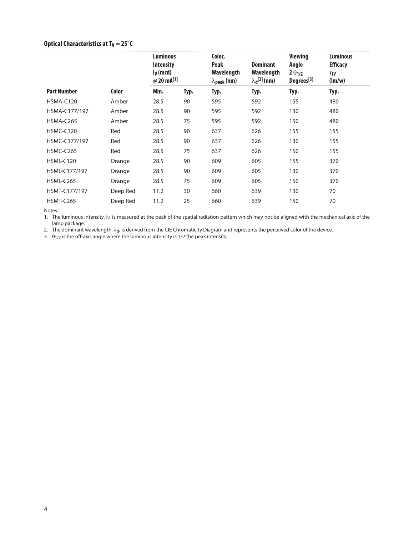# **Optical Characteristics at TA = 25°C**

|                    |          | <b>Luminous</b><br><b>Intensity</b><br>$I_V$ (mcd)<br>@ 20 mA[1] |      | Color,<br><b>Peak</b><br>Wavelength<br>$\lambda_{\text{peak}}$ (nm) | <b>Dominant</b><br>Wavelength<br>$\lambda_{\mathbf{d}}^{[2]}$ (nm) | <b>Viewing</b><br>Angle<br>$2\theta_{1/2}$<br>Degrees <sup>[3]</sup> | <b>Luminous</b><br><b>Efficacy</b><br>$\n  n\n$<br>$(\text{Im}/\text{w})$ |
|--------------------|----------|------------------------------------------------------------------|------|---------------------------------------------------------------------|--------------------------------------------------------------------|----------------------------------------------------------------------|---------------------------------------------------------------------------|
| <b>Part Number</b> | Color    | Min.                                                             | Typ. | Typ.                                                                | Typ.                                                               | Typ.                                                                 | Typ.                                                                      |
| HSMA-C120          | Amber    | 28.5                                                             | 90   | 595                                                                 | 592                                                                | 155                                                                  | 480                                                                       |
| HSMA-C177/197      | Amber    | 28.5                                                             | 90   | 595                                                                 | 592                                                                | 130                                                                  | 480                                                                       |
| HSMA-C265          | Amber    | 28.5                                                             | 75   | 595                                                                 | 592                                                                | 150                                                                  | 480                                                                       |
| HSMC-C120          | Red      | 28.5                                                             | 90   | 637                                                                 | 626                                                                | 155                                                                  | 155                                                                       |
| HSMC-C177/197      | Red      | 28.5                                                             | 90   | 637                                                                 | 626                                                                | 130                                                                  | 155                                                                       |
| HSMC-C265          | Red      | 28.5                                                             | 75   | 637                                                                 | 626                                                                | 150                                                                  | 155                                                                       |
| HSML-C120          | Orange   | 28.5                                                             | 90   | 609                                                                 | 605                                                                | 155                                                                  | 370                                                                       |
| HSML-C177/197      | Orange   | 28.5                                                             | 90   | 609                                                                 | 605                                                                | 130                                                                  | 370                                                                       |
| HSML-C265          | Orange   | 28.5                                                             | 75   | 609                                                                 | 605                                                                | 150                                                                  | 370                                                                       |
| HSMT-C177/197      | Deep Red | 11.2                                                             | 30   | 660                                                                 | 639                                                                | 130                                                                  | 70                                                                        |
| <b>HSMT-C265</b>   | Deep Red | 11.2                                                             | 25   | 660                                                                 | 639                                                                | 150                                                                  | 70                                                                        |

Notes:

1. The luminous intensity, I<sub>V</sub>, is measured at the peak of the spatial radiation pattern which may not be aligned with the mechanical axis of the lamp package.

2. The dominant wavelength,  $\lambda_{\rm d}$ , is derived from the CIE Chromaticity Diagram and represents the perceived color of the device.

3.  $\theta_{1/2}$  is the off-axis angle where the luminous intensity is 1/2 the peak intensity.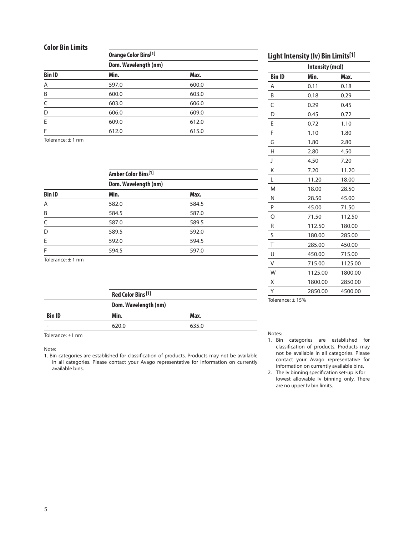### **Color Bin Limits**

| SVIVI PIII EIIIIISJ |                                                     |       |  |  |  |
|---------------------|-----------------------------------------------------|-------|--|--|--|
|                     | <b>Orange Color Bins[1]</b><br>Dom. Wavelength (nm) |       |  |  |  |
|                     |                                                     |       |  |  |  |
| <b>Bin ID</b>       | Min.                                                | Max.  |  |  |  |
| A                   | 597.0                                               | 600.0 |  |  |  |
| B                   | 600.0                                               | 603.0 |  |  |  |
| C                   | 603.0                                               | 606.0 |  |  |  |
| D                   | 606.0                                               | 609.0 |  |  |  |
| E                   | 609.0                                               | 612.0 |  |  |  |
| F                   | 612.0                                               | 615.0 |  |  |  |
|                     |                                                     |       |  |  |  |

Tolerance: ± 1 nm

|               | <b>Amber Color Bins[1]</b><br>Dom. Wavelength (nm) |       |  |  |
|---------------|----------------------------------------------------|-------|--|--|
|               |                                                    |       |  |  |
| <b>Bin ID</b> | Min.                                               | Max.  |  |  |
| Α             | 582.0                                              | 584.5 |  |  |
| B             | 584.5                                              | 587.0 |  |  |
| C             | 587.0                                              | 589.5 |  |  |
| D             | 589.5                                              | 592.0 |  |  |
| E             | 592.0                                              | 594.5 |  |  |
| F             | 594.5                                              | 597.0 |  |  |

Tolerance: ± 1 nm

|                 | Red Color Bins <sup>[1]</sup> |                      |  |  |
|-----------------|-------------------------------|----------------------|--|--|
|                 |                               | Dom. Wavelength (nm) |  |  |
| <b>Bin ID</b>   | Min.                          | Max.                 |  |  |
| $\qquad \qquad$ | 620.0                         | 635.0                |  |  |
|                 |                               |                      |  |  |

Tolerance: ±1 nm

Note:

1. Bin categories are established for classification of products. Products may not be available in all categories. Please contact your Avago representative for information on currently available bins.

## **Light Intensity (Iv) Bin Limits[1]**

| Intensity (mcd) |         |         |
|-----------------|---------|---------|
| <b>Bin ID</b>   | Min.    | Max.    |
| A               | 0.11    | 0.18    |
| B               | 0.18    | 0.29    |
| C               | 0.29    | 0.45    |
| D               | 0.45    | 0.72    |
| E               | 0.72    | 1.10    |
| F               | 1.10    | 1.80    |
| G               | 1.80    | 2.80    |
| Н               | 2.80    | 4.50    |
| J               | 4.50    | 7.20    |
| K               | 7.20    | 11.20   |
| L               | 11.20   | 18.00   |
| M               | 18.00   | 28.50   |
| N               | 28.50   | 45.00   |
| P               | 45.00   | 71.50   |
| Q               | 71.50   | 112.50  |
| R               | 112.50  | 180.00  |
| S               | 180.00  | 285.00  |
| T               | 285.00  | 450.00  |
| U               | 450.00  | 715.00  |
| V               | 715.00  | 1125.00 |
| W               | 1125.00 | 1800.00 |
| Χ               | 1800.00 | 2850.00 |
| Υ               | 2850.00 | 4500.00 |
|                 |         |         |

Tolerance: ± 15%

#### Notes:

- 1. Bin categories are established for classification of products. Products may not be available in all categories. Please contact your Avago representative for information on currently available bins.
- 2. The Iv binning specification set-up is for lowest allowable Iv binning only. There are no upper Iv bin limits.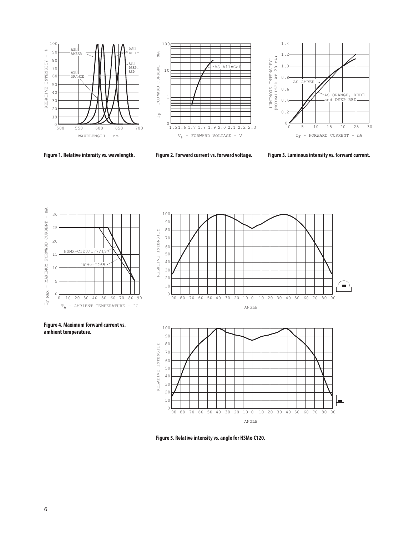





**100**

**Figure 1. Relative intensity vs. wavelength. Figure 2. Forward current vs. forward voltage. Figure 3. Luminous intensity vs. forward current.**



**Figure 4. Maximum forward current vs.** 

**ambient temperature.**



**Figure 5. Relative intensity vs. angle for HSMx-C120.**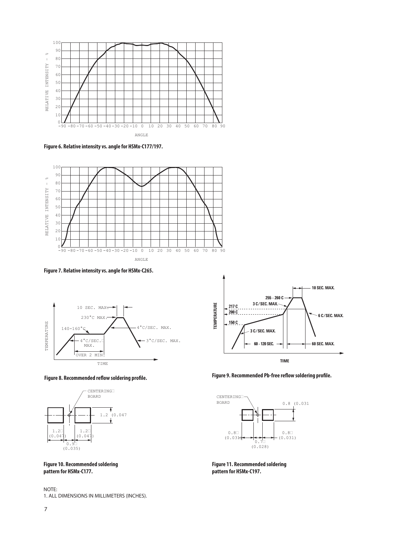

**Figure 6. Relative intensity vs. angle for HSMx-C177/197.**









**Figure 10. Recommended soldering pattern for HSMx-C177.**





**Figure 9. Recommended Pb-free reflow soldering profile.**



**Figure 11. Recommended soldering pattern for HSMx-C197.**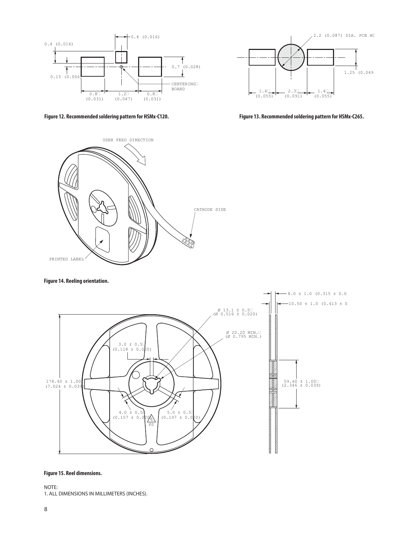

**Figure 12. Recommended soldering pattern for HSMx-C120. Figure 13. Recommended soldering pattern for HSMx-C265.**





#### **Figure 14. Reeling orientation.**



#### **Figure 15. Reel dimensions.**

NOTE: 1. ALL DIMENSIONS IN MILLIMETERS (INCHES).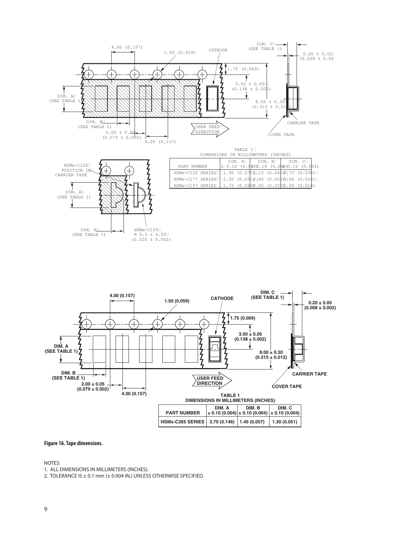



#### **Figure 16. Tape dimensions.**

NOTES:

1. ALL DIMENSIONS IN MILLIMETERS (INCHES).

2. TOLERANCE IS  $\pm$  0.1 mm ( $\pm$  0.004 IN.) UNLESS OTHERWISE SPECIFIED.